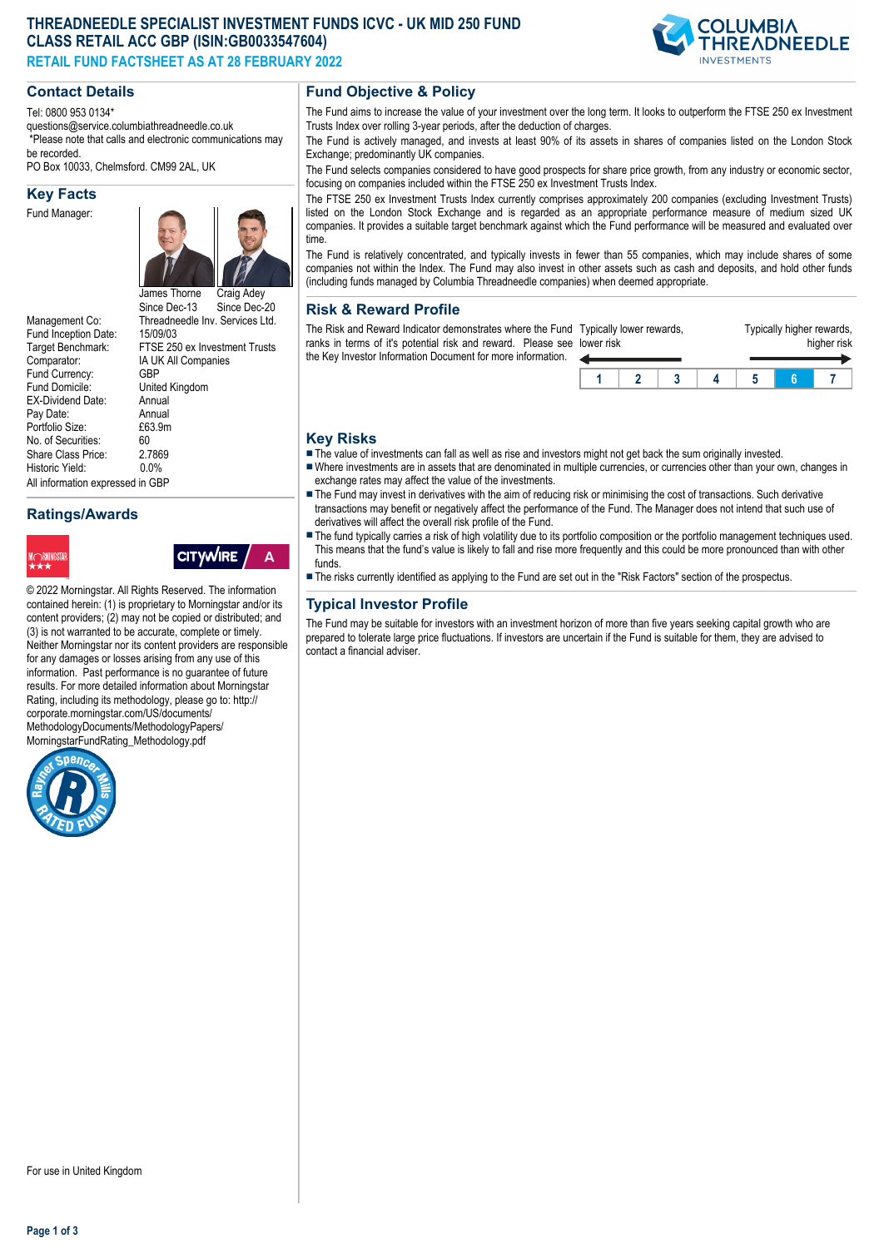# **THREADNEEDLE SPECIALIST INVESTMENT FUNDS ICVC - UK MID 250 FUND CLASS RETAIL ACC GBP (ISIN:GB0033547604) RETAIL FUND FACTSHEET AS AT 28 FEBRUARY 2022**



#### Tel: 0800 953 0134\*

questions@service.columbiathreadneedle.co.uk \*Please note that calls and electronic communications may

be recorded. PO Box 10033, Chelmsford. CM99 2AL, UK

**Key Facts**

Fund Manager:



FTSE 250 ex Investment Trusts

**CITYWIRE** 

Management Co: Threadneedle Inv. Services Ltd.<br>Fund Inception Date: 15/09/03 Fund Inception Date:<br>Target Benchmark: Comparator: IA UK All Companies<br>Fund Currency: GBP Fund Currency:<br>Fund Domicile: EX-Dividend Date: Annual<br>Pay Date: Annual Pay Date: Annual<br>Portfolio Size: F63.9m Portfolio Size: £6<br>No. of Securities: 60 No. of Securities: 60<br>Share Class Price: 2.7869 Share Class Price: 2.786<br>Historic Vield: 0.0% Historic Yield: All information expressed in GBP

**Ratings/Awards**



United Kingdom<br>Annual





# **Fund Objective & Policy**

The Fund aims to increase the value of your investment over the long term. It looks to outperform the FTSE 250 ex Investment Trusts Index over rolling 3-year periods, after the deduction of charges.

The Fund is actively managed, and invests at least 90% of its assets in shares of companies listed on the London Stock Exchange; predominantly UK companies.

The Fund selects companies considered to have good prospects for share price growth, from any industry or economic sector, focusing on companies included within the FTSE 250 ex Investment Trusts Index.

The FTSE 250 ex Investment Trusts Index currently comprises approximately 200 companies (excluding Investment Trusts) listed on the London Stock Exchange and is regarded as an appropriate performance measure of medium sized UK companies. It provides a suitable target benchmark against which the Fund performance will be measured and evaluated over time.

The Fund is relatively concentrated, and typically invests in fewer than 55 companies, which may include shares of some companies not within the Index. The Fund may also invest in other assets such as cash and deposits, and hold other funds (including funds managed by Columbia Threadneedle companies) when deemed appropriate.

#### **Risk & Reward Profile**

The Risk and Reward Indicator demonstrates where the Fund Typically lower rewards, ranks in terms of it's potential risk and reward. Please see lower risk the Key Investor Information Document for more information.  $\overline{\phantom{a}}$ 

| er risk | lically lower rewards, |  | i ypically nigher rewards, | higher risk |  |
|---------|------------------------|--|----------------------------|-------------|--|
|         |                        |  |                            |             |  |

Typically higher rewards,

#### **Key Risks**

The value of investments can fall as well as rise and investors might not get back the sum originally invested.

- nWhere investments are in assets that are denominated in multiple currencies, or currencies other than your own, changes in exchange rates may affect the value of the investments.
- The Fund may invest in derivatives with the aim of reducing risk or minimising the cost of transactions. Such derivative transactions may benefit or negatively affect the performance of the Fund. The Manager does not intend that such use of derivatives will affect the overall risk profile of the Fund.
- The fund typically carries a risk of high volatility due to its portfolio composition or the portfolio management techniques used. This means that the fund's value is likely to fall and rise more frequently and this could be more pronounced than with other funds.
- n The risks currently identified as applying to the Fund are set out in the "Risk Factors" section of the prospectus.

# **Typical Investor Profile**

The Fund may be suitable for investors with an investment horizon of more than five years seeking capital growth who are prepared to tolerate large price fluctuations. If investors are uncertain if the Fund is suitable for them, they are advised to contact a financial adviser.

**Page 1 of 3**

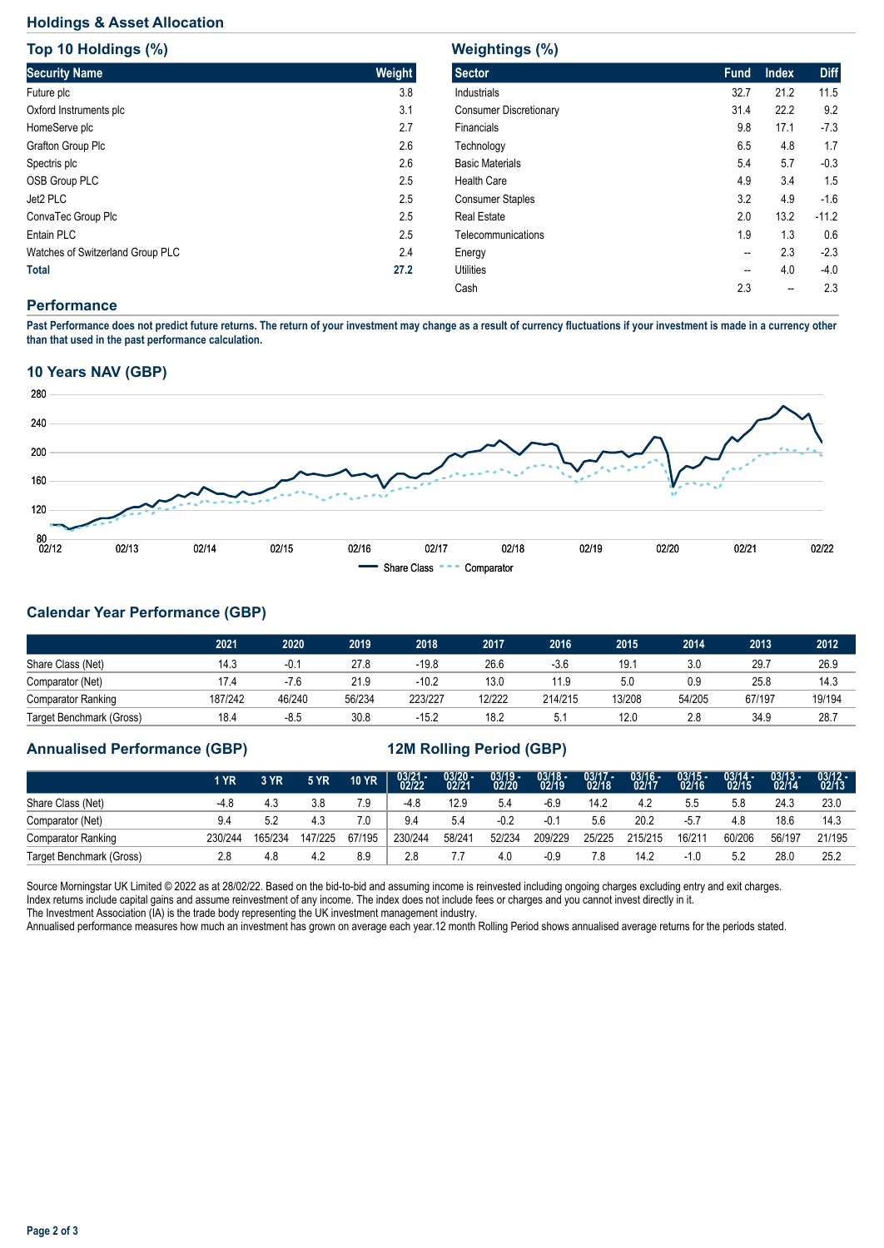# **Holdings & Asset Allocation**

**Top 10 Holdings (%)**

| <b>TOD 10 HOIGINGS (%)</b>       |        |  |  |  |  |  |  |
|----------------------------------|--------|--|--|--|--|--|--|
| <b>Security Name</b>             | Weight |  |  |  |  |  |  |
| Future plc                       | 3.8    |  |  |  |  |  |  |
| Oxford Instruments plc           | 3.1    |  |  |  |  |  |  |
| HomeServe plc                    | 2.7    |  |  |  |  |  |  |
| <b>Grafton Group Plc</b>         | 2.6    |  |  |  |  |  |  |
| Spectris plc                     | 2.6    |  |  |  |  |  |  |
| <b>OSB Group PLC</b>             | 2.5    |  |  |  |  |  |  |
| Jet2 PLC                         | 2.5    |  |  |  |  |  |  |
| ConvaTec Group Plc               | 2.5    |  |  |  |  |  |  |
| Entain PLC                       | 2.5    |  |  |  |  |  |  |
| Watches of Switzerland Group PLC | 2.4    |  |  |  |  |  |  |
| <b>Total</b>                     | 27.2   |  |  |  |  |  |  |

| <b>Weightings (%)</b>         |             |              |             |  |  |  |  |  |
|-------------------------------|-------------|--------------|-------------|--|--|--|--|--|
| <b>Sector</b>                 | <b>Fund</b> | <b>Index</b> | <b>Diff</b> |  |  |  |  |  |
| <b>Industrials</b>            | 32.7        | 21.2         | 11.5        |  |  |  |  |  |
| <b>Consumer Discretionary</b> | 31.4        | 22.2         | 9.2         |  |  |  |  |  |
| Financials                    | 9.8         | 17.1         | $-7.3$      |  |  |  |  |  |
| Technology                    | 6.5         | 4.8          | 1.7         |  |  |  |  |  |
| <b>Basic Materials</b>        | 5.4         | 5.7          | $-0.3$      |  |  |  |  |  |
| Health Care                   | 4.9         | 3.4          | 1.5         |  |  |  |  |  |
| <b>Consumer Staples</b>       | 3.2         | 4.9          | $-1.6$      |  |  |  |  |  |
| <b>Real Estate</b>            | 2.0         | 13.2         | $-11.2$     |  |  |  |  |  |
| Telecommunications            | 1.9         | 1.3          | 0.6         |  |  |  |  |  |
| Energy                        | --          | 2.3          | $-2.3$      |  |  |  |  |  |
| <b>Utilities</b>              | --          | 4.0          | $-4.0$      |  |  |  |  |  |
| Cash                          | 2.3         |              | 2.3         |  |  |  |  |  |
|                               |             |              |             |  |  |  |  |  |

#### **Performance**

**Past Performance does not predict future returns. The return of your investment may change as a result of currency fluctuations if your investment is made in a currency other than that used in the past performance calculation.** 

# **10 Years NAV (GBP)**



# **Calendar Year Performance (GBP)**

|                           | 2021    | 2020   | 2019   | 2018    | 2017   | 2016    | 2015   | 2014   | 2013   | 2012   |
|---------------------------|---------|--------|--------|---------|--------|---------|--------|--------|--------|--------|
| Share Class (Net)         | 14.3    | $-0.1$ | 27.8   | -19.8   | 26.6   | $-3.6$  | 19.7   | 3.0    | 29.7   | 26.9   |
| Comparator (Net)          | 17.4    | $-7.6$ | 21.9   | -10.2   | 13.0   | 11.9    | 5.0    | 0.9    | 25.8   | 14.3   |
| <b>Comparator Ranking</b> | 187/242 | 46/240 | 56/234 | 223/227 | 12/222 | 214/215 | 13/208 | 54/205 | 67/197 | 19/194 |
| Target Benchmark (Gross)  | 18.4    | $-8.5$ | 30.8   | $-15.2$ | 18.2   | 5.1     | 12.0   | 2.8    | 34.9   | 28.7   |

# **Annualised Performance (GBP) 12M Rolling Period (GBP)**

|                           | 1 YR    | 3 YR    | 5 YR.   | <b>10 YR</b> | $03/21 - 02/22$ | $03/20 - 02/21$ | $03/19 -$<br>02/20 | $03/18 -$<br>02/19 | $03/17 -$<br>02/18 | $03/16 -$<br>02/17 | $03/15 -$<br>02/16 | $03/14 -$<br>02/15 | $03/13 -$<br>02/14 | $03/12 -$<br>02/13 |
|---------------------------|---------|---------|---------|--------------|-----------------|-----------------|--------------------|--------------------|--------------------|--------------------|--------------------|--------------------|--------------------|--------------------|
| Share Class (Net)         | $-4.8$  | 4.3     | 3.8     | 7.9          | $-4.8$          | 12.9            | 5.4                | -6.9               | 14.2               | 4.2                | 5.5                | 5.8                | 24.3               | 23.0               |
| Comparator (Net)          | 9.4     | 5.2     | 4.3     | 7.0          | 9.4             | 5.4             | $-0.2$             | -0.1               | 5.6                | 20.2               | $-5.7$             | 4.8                | 18.6               | 14.3               |
| <b>Comparator Ranking</b> | 230/244 | 165/234 | 147/225 | 67/195       | 230/244         | 58/241          | 52/234             | 209/229            | 25/225             | 215/215            | 16/211             | 60/206             | 56/197             | 21/195             |
| Target Benchmark (Gross)  | 2.8     | 4.8     | 4.2     | 8.9          | 2.8             |                 | 4.0                | $-0.9$             |                    | 14.2               | -1.0               | 5.2                | 28.0               | 25.2               |

Source Morningstar UK Limited © 2022 as at 28/02/22. Based on the bid-to-bid and assuming income is reinvested including ongoing charges excluding entry and exit charges. Index returns include capital gains and assume reinvestment of any income. The index does not include fees or charges and you cannot invest directly in it. The Investment Association (IA) is the trade body representing the UK investment management industry.

Annualised performance measures how much an investment has grown on average each year.12 month Rolling Period shows annualised average returns for the periods stated.